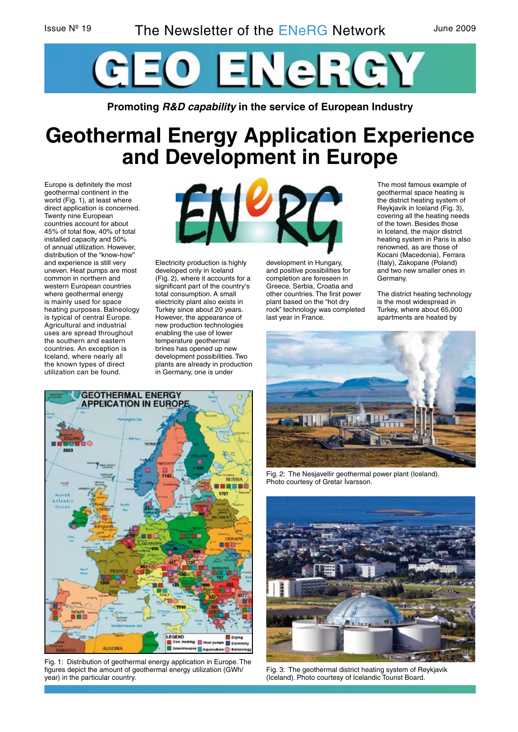

**Promoting R&D capability in the service of European Industry**

# **Geothermal Energy Application Experience and Development in Europe**

Europe is definitely the most geothermal continent in the world (Fig. 1), at least where direct application is concerned. Twenty nine European countries account for about 45% of total flow, 40% of total installed capacity and 50% of annual utilization. However, distribution of the "know-how" and experience is still very uneven. Heat pumps are most common in northern and western European countries where geothermal energy is mainly used for space heating purposes. Balneology is typical of central Europe. Agricultural and industrial uses are spread throughout the southern and eastern countries. An exception is Iceland, where nearly all the known types of direct utilization can be found.



Electricity production is highly developed only in Iceland (Fig. 2), where it accounts for a significant part of the country's total consumption. A small electricity plant also exists in Turkey since about 20 years. However, the appearance of new production technologies enabling the use of lower temperature geothermal brines has opened up new development possibilities. Two plants are already in production in Germany, one is under



The most famous example of geothermal space heating is the district heating system of Reykjavik in Iceland (Fig. 3), covering all the heating needs of the town. Besides those in Iceland, the major district heating system in Paris is also renowned, as are those of Kocani (Macedonia), Ferrara (Italy), Zakopane (Poland) and two new smaller ones in Germany.

The district heating technology is the most widespread in Turkey, where about 65,000 apartments are heated by



Fig. 2: The Nesjavellir geothermal power plant (Iceland). Photo courtesy of Gretar Ívarsson.



Fig. 3: The geothermal district heating system of Reykjavik (Iceland). Photo courtesy of Icelandic Tourist Board.



Fig. 1: Distribution of geothermal energy application in Europe. The figures depict the amount of geothermal energy utilization (GWh/ year) in the particular country.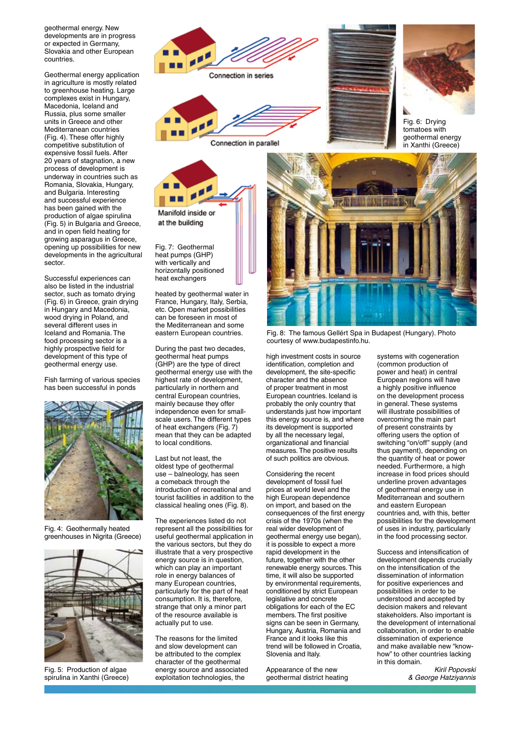geothermal energy. New developments are in progress or expected in Germany, Slovakia and other European countries.

Geothermal energy application in agriculture is mostly related to greenhouse heating. Large complexes exist in Hungary, Macedonia, Iceland and Russia, plus some smaller units in Greece and other Mediterranean countries (Fig. 4). These offer highly competitive substitution of expensive fossil fuels. After 20 years of stagnation, a new process of development is underway in countries such as Romania, Slovakia, Hungary, and Bulgaria. Interesting and successful experience has been gained with the production of algae spirulina (Fig. 5) in Bulgaria and Greece, and in open field heating for growing asparagus in Greece, opening up possibilities for new developments in the agricultural sector.

Successful experiences can also be listed in the industrial sector, such as tomato drying (Fig. 6) in Greece, grain drying in Hungary and Macedonia, wood drying in Poland, and several different uses in Iceland and Romania. The food processing sector is a highly prospective field for development of this type of geothermal energy use.

Fish farming of various species has been successful in ponds



Fig. 4: Geothermally heated greenhouses in Nigrita (Greece)



Fig. 5: Production of algae spirulina in Xanthi (Greece)



Connection in parallel

Manifold inside or at the building

Fig. 7: Geothermal heat pumps (GHP) with vertically and horizontally positioned heat exchangers

heated by geothermal water in France, Hungary, Italy, Serbia, etc. Open market possibilities can be foreseen in most of the Mediterranean and some eastern European countries.

During the past two decades, geothermal heat pumps (GHP) are the type of direct geothermal energy use with the highest rate of development, particularly in northern and central European countries, mainly because they offer independence even for smallscale users. The different types of heat exchangers (Fig. 7) mean that they can be adapted to local conditions.

Last but not least, the oldest type of geothermal use - balneology, has seen a comeback through the introduction of recreational and tourist facilities in addition to the classical healing ones (Fig. 8).

The experiences listed do not represent all the possibilities for useful geothermal application in the various sectors, but they do illustrate that a very prospective energy source is in question, which can play an important role in energy balances of many European countries. particularly for the part of heat consumption. It is, therefore, strange that only a minor part of the resource available is actually put to use.

The reasons for the limited and slow development can be attributed to the complex character of the geothermal energy source and associated exploitation technologies, the



Fig. 8: The famous Gellért Spa in Budapest (Hungary). Photo courtesy of www.budapestinfo.hu.

high investment costs in source identification, completion and development, the site-specific character and the absence of proper treatment in most European countries. Iceland is probably the only country that understands just how important this energy source is, and where its development is supported by all the necessary legal, organizational and financial measures. The positive results of such politics are obvious.

Considering the recent development of fossil fuel prices at world level and the high European dependence on import, and based on the consequences of the first energy crisis of the 1970s (when the real wider development of geothermal energy use began), it is possible to expect a more rapid development in the future, together with the other renewable energy sources. This time, it will also be supported by environmental requirements, conditioned by strict European legislative and concrete obligations for each of the EC members. The first positive signs can be seen in Germany. Hungary, Austria, Romania and France and it looks like this trend will be followed in Croatia, Slovenia and Italy.

Appearance of the new geothermal district heating systems with cogeneration (common production of power and heat) in central European regions will have a highly positive influence on the development process in general. These systems will illustrate possibilities of overcoming the main part of present constraints by offering users the option of switching "on/off" supply (and thus payment), depending on the quantity of heat or power needed. Furthermore, a high increase in food prices should underline proven advantages of geothermal energy use in Mediterranean and southern and eastern European countries and, with this, better possibilities for the development of uses in industry, particularly in the food processing sector.

Success and intensification of development depends crucially on the intensification of the dissemination of information for positive experiences and possibilities in order to be understood and accepted by decision makers and relevant stakeholders. Also important is the development of international collaboration, in order to enable dissemination of experience and make available new "knowhow" to other countries lacking in this domain.

> Kiril Popovski & George Hatziyannis



Fig. 6: Drying tomatoes with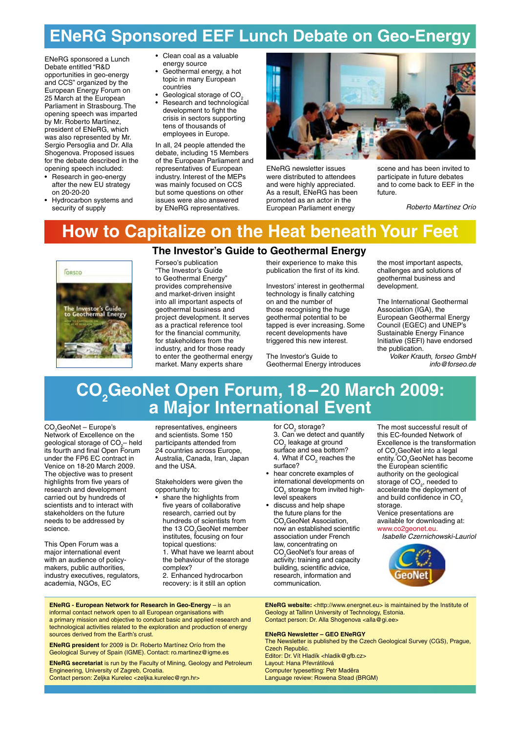# **ENeRG Sponsored EEF Lunch Debate on Geo-Energy**

ENeRG sponsored a Lunch Debate entitled "R&D opportunities in geo-energy and CCS" organized by the European Energy Forum on 25 March at the European Parliament in Strasbourg. The opening speech was imparted by Mr. Roberto Martínez, president of ENeRG, which was also represented by Mr. Sergio Persoglia and Dr. Alla Shogenova. Proposed issues for the debate described in the opening speech included:

- Research in geo-energy after the new EU strategy on 20-20-20
- Hydrocarbon systems and security of supply

• Clean coal as a valuable energy source

- Geothermal energy, a hot topic in many European countries
- Geological storage of CO.
- Research and technological development to fight the crisis in sectors supporting tens of thousands of employees in Europe.

In all, 24 people attended the debate, including 15 Members of the European Parliament and representatives of European industry. Interest of the MEPs was mainly focused on CCS but some questions on other issues were also answered by ENeRG representatives.



ENeRG newsletter issues were distributed to attendees and were highly appreciated. As a result, ENeRG has been promoted as an actor in the European Parliament energy

scene and has been invited to participate in future debates and to come back to EEF in the future.

Roberto Martínez Orío

# **How to Capitalize on the Heat beneath Your Feet**

# **FORSED** Investor's Guide<br>Jeothermal Energy

## **The Investor's Guide to Geothermal Energy**

Forseo's publication "The Investor's Guide to Geothermal Energy" provides comprehensive and market-driven insight into all important aspects of geothermal business and project development. It serves as a practical reference tool for the financial community, for stakeholders from the industry, and for those ready to enter the geothermal energy market. Many experts share

their experience to make this publication the first of its kind.

Investors' interest in geothermal technology is finally catching on and the number of those recognising the huge geothermal potential to be tapped is ever increasing. Some recent developments have triggered this new interest.

The Investor's Guide to Geothermal Energy introduces the most important aspects, challenges and solutions of geothermal business and development.

The International Geothermal Association (IGA), the European Geothermal Energy Council (EGEC) and UNEP's Sustainable Energy Finance Initiative (SEFI) have endorsed the publication.

Volker Krauth, forseo GmbH info@forseo.de

## **CO2 GeoNet Open Forum, 18–20 March 2009: a Major International Event**

CO<sub>2</sub>GeoNet – Europe's Network of Excellence on the geological storage of  $CO_2^-$  held its fourth and final Open Forum under the FP6 EC contract in Venice on 18-20 March 2009. The objective was to present highlights from five years of research and development carried out by hundreds of scientists and to interact with stakeholders on the future needs to be addressed by science.

This Open Forum was a major international event with an audience of policymakers, public authorities, industry executives, regulators, academia, NGOs, EC

representatives, engineers and scientists. Some 150 participants attended from 24 countries across Europe, Australia, Canada, Iran, Japan and the USA.

Stakeholders were given the opportunity to:

- share the highlights from five years of collaborative research, carried out by hundreds of scientists from the 13 CO<sub>2</sub>GeoNet member institutes, focusing on four topical questions: 1. What have we learnt about
- the behaviour of the storage complex?
- 2. Enhanced hydrocarbon recovery: is it still an option

for  $CO<sub>2</sub>$  storage? 3. Can we detect and quantify CO<sub>2</sub> leakage at ground surface and sea bottom? 4. What if  $CO<sub>2</sub>$  reaches the surface?

- hear concrete examples of international developments on  $CO<sub>2</sub>$  storage from invited highlevel speakers
- discuss and help shape the future plans for the CO<sub>2</sub>GeoNet Association, now an established scientific association under French law, concentrating on CO<sub>2</sub> GeoNet's four areas of activity: training and capacity building, scientific advice, research, information and communication.

The most successful result of this EC-founded Network of Excellence is the transformation of CO<sub>2</sub>GeoNet into a legal entity. CO<sub>2</sub>GeoNet has become the European scientific authority on the geological storage of CO<sub>2</sub>, needed to accelerate the deployment of and build confidence in CO<sub>2</sub> storage.

Venice presentations are available for downloading at: www.co2geonet.eu.

Isabelle Czernichowski-Lauriol



**ENeRG website:** <http://www.energnet.eu> is maintained by the Institute of Geology at Tallinn University of Technology, Estonia. Contact person: Dr. Alla Shogenova <alla@gi.ee>

#### **ENeRG Newsletter – GEO ENeRGY**

The Newsletter is published by the Czech Geological Survey (CGS), Prague, Czech Republic. Editor: Dr. Vít Hladík <hladik@gfb.cz> Layout: Hana Převrátilová Computer typesetting: Petr Maděra Language review: Rowena Stead (BRGM)

**ENeRG - European Network for Research in Geo-Energy** – is an informal contact network open to all European organisations with a primary mission and objective to conduct basic and applied research and technological activities related to the exploration and production of energy sources derived from the Earth's crust.

**ENeRG president** for 2009 is Dr. Roberto Martínez Orío from the Geological Survey of Spain (IGME). Contact: ro.martinez@igme.es

**ENeRG secretariat** is run by the Faculty of Mining, Geology and Petroleum Engineering, University of Zagreb, Croatia. Contact person: Zeljka Kurelec <zeljka.kurelec@rgn.hr>